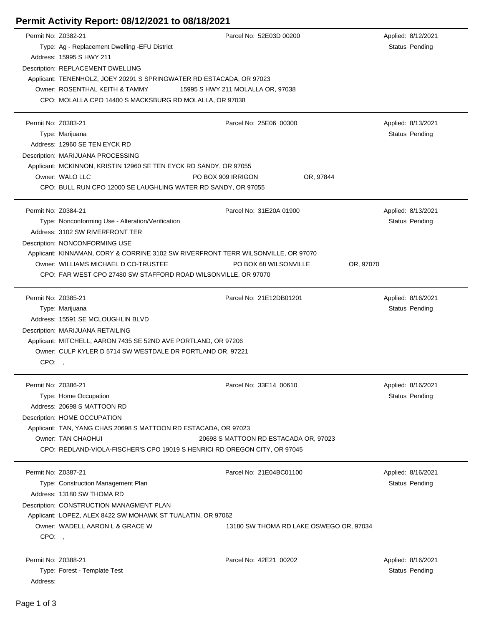## **Permit Activity Report: 08/12/2021 to 08/18/2021**

| Permit No: Z0382-21 |                                                                                   | Parcel No: 52E03D 00200                 | Applied: 8/12/2021    |  |  |
|---------------------|-----------------------------------------------------------------------------------|-----------------------------------------|-----------------------|--|--|
|                     | Type: Ag - Replacement Dwelling -EFU District                                     |                                         | Status Pending        |  |  |
|                     | Address: 15995 S HWY 211                                                          |                                         |                       |  |  |
|                     | Description: REPLACEMENT DWELLING                                                 |                                         |                       |  |  |
|                     | Applicant: TENENHOLZ, JOEY 20291 S SPRINGWATER RD ESTACADA, OR 97023              |                                         |                       |  |  |
|                     | Owner: ROSENTHAL KEITH & TAMMY<br>15995 S HWY 211 MOLALLA OR, 97038               |                                         |                       |  |  |
|                     | CPO: MOLALLA CPO 14400 S MACKSBURG RD MOLALLA, OR 97038                           |                                         |                       |  |  |
|                     |                                                                                   |                                         |                       |  |  |
| Permit No: Z0383-21 |                                                                                   | Parcel No: 25E06 00300                  | Applied: 8/13/2021    |  |  |
|                     | Type: Marijuana                                                                   |                                         | Status Pending        |  |  |
|                     | Address: 12960 SE TEN EYCK RD                                                     |                                         |                       |  |  |
|                     | Description: MARIJUANA PROCESSING                                                 |                                         |                       |  |  |
|                     | Applicant: MCKINNON, KRISTIN 12960 SE TEN EYCK RD SANDY, OR 97055                 |                                         |                       |  |  |
|                     | Owner: WALO LLC<br>PO BOX 909 IRRIGON                                             | OR, 97844                               |                       |  |  |
|                     | CPO: BULL RUN CPO 12000 SE LAUGHLING WATER RD SANDY, OR 97055                     |                                         |                       |  |  |
|                     |                                                                                   |                                         |                       |  |  |
| Permit No: Z0384-21 |                                                                                   | Parcel No: 31E20A 01900                 | Applied: 8/13/2021    |  |  |
|                     | Type: Nonconforming Use - Alteration/Verification                                 |                                         | Status Pending        |  |  |
|                     | Address: 3102 SW RIVERFRONT TER                                                   |                                         |                       |  |  |
|                     | Description: NONCONFORMING USE                                                    |                                         |                       |  |  |
|                     | Applicant: KINNAMAN, CORY & CORRINE 3102 SW RIVERFRONT TERR WILSONVILLE, OR 97070 |                                         |                       |  |  |
|                     | Owner: WILLIAMS MICHAEL D CO-TRUSTEE<br>PO BOX 68 WILSONVILLE<br>OR, 97070        |                                         |                       |  |  |
|                     | CPO: FAR WEST CPO 27480 SW STAFFORD ROAD WILSONVILLE, OR 97070                    |                                         |                       |  |  |
|                     |                                                                                   |                                         |                       |  |  |
| Permit No: Z0385-21 |                                                                                   | Parcel No: 21E12DB01201                 | Applied: 8/16/2021    |  |  |
|                     | Type: Marijuana                                                                   |                                         | <b>Status Pending</b> |  |  |
|                     | Address: 15591 SE MCLOUGHLIN BLVD                                                 |                                         |                       |  |  |
|                     | Description: MARIJUANA RETAILING                                                  |                                         |                       |  |  |
|                     | Applicant: MITCHELL, AARON 7435 SE 52ND AVE PORTLAND, OR 97206                    |                                         |                       |  |  |
|                     | Owner: CULP KYLER D 5714 SW WESTDALE DR PORTLAND OR, 97221                        |                                         |                       |  |  |
| CPO:,               |                                                                                   |                                         |                       |  |  |
|                     |                                                                                   |                                         |                       |  |  |
| Permit No: Z0386-21 |                                                                                   | Parcel No: 33E14 00610                  | Applied: 8/16/2021    |  |  |
|                     | Type: Home Occupation                                                             |                                         | Status Pending        |  |  |
|                     | Address: 20698 S MATTOON RD                                                       |                                         |                       |  |  |
|                     | Description: HOME OCCUPATION                                                      |                                         |                       |  |  |
|                     | Applicant: TAN, YANG CHAS 20698 S MATTOON RD ESTACADA, OR 97023                   |                                         |                       |  |  |
|                     | Owner: TAN CHAOHUI<br>20698 S MATTOON RD ESTACADA OR, 97023                       |                                         |                       |  |  |
|                     | CPO: REDLAND-VIOLA-FISCHER'S CPO 19019 S HENRICI RD OREGON CITY, OR 97045         |                                         |                       |  |  |
|                     |                                                                                   |                                         |                       |  |  |
| Permit No: Z0387-21 |                                                                                   | Parcel No: 21E04BC01100                 | Applied: 8/16/2021    |  |  |
|                     | Type: Construction Management Plan                                                |                                         | Status Pending        |  |  |
|                     | Address: 13180 SW THOMA RD                                                        |                                         |                       |  |  |
|                     | Description: CONSTRUCTION MANAGMENT PLAN                                          |                                         |                       |  |  |
|                     | Applicant: LOPEZ, ALEX 8422 SW MOHAWK ST TUALATIN, OR 97062                       |                                         |                       |  |  |
|                     | Owner: WADELL AARON L & GRACE W                                                   | 13180 SW THOMA RD LAKE OSWEGO OR, 97034 |                       |  |  |
| CPO:,               |                                                                                   |                                         |                       |  |  |
|                     |                                                                                   |                                         |                       |  |  |
| Permit No: Z0388-21 |                                                                                   | Parcel No: 42E21 00202                  | Applied: 8/16/2021    |  |  |
|                     | Type: Forest - Template Test                                                      |                                         | <b>Status Pending</b> |  |  |
| Address:            |                                                                                   |                                         |                       |  |  |

 $\overline{a}$ 

 $\overline{\phantom{a}}$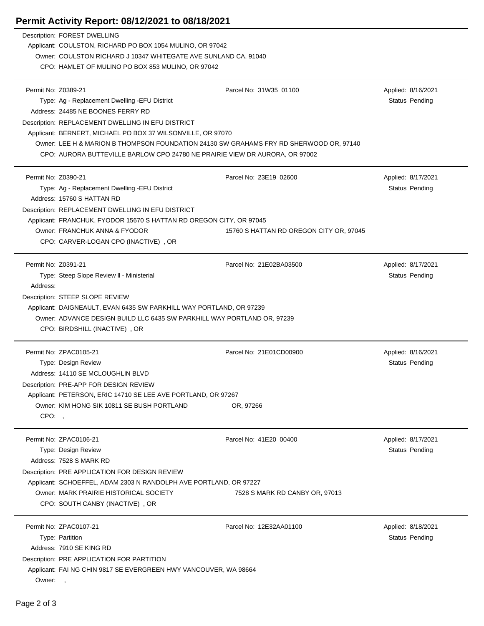## **Permit Activity Report: 08/12/2021 to 08/18/2021**

|                     | Description: FOREST DWELLING<br>Applicant: COULSTON, RICHARD PO BOX 1054 MULINO, OR 97042<br>Owner: COULSTON RICHARD J 10347 WHITEGATE AVE SUNLAND CA, 91040<br>CPO: HAMLET OF MULINO PO BOX 853 MULINO, OR 97042 |                                         |                                      |  |
|---------------------|-------------------------------------------------------------------------------------------------------------------------------------------------------------------------------------------------------------------|-----------------------------------------|--------------------------------------|--|
| Permit No: Z0389-21 | Type: Ag - Replacement Dwelling - EFU District<br>Address: 24485 NE BOONES FERRY RD<br>Description: REPLACEMENT DWELLING IN EFU DISTRICT                                                                          | Parcel No: 31W35 01100                  | Applied: 8/16/2021<br>Status Pending |  |
|                     | Applicant: BERNERT, MICHAEL PO BOX 37 WILSONVILLE, OR 97070                                                                                                                                                       |                                         |                                      |  |
|                     | Owner: LEE H & MARION B THOMPSON FOUNDATION 24130 SW GRAHAMS FRY RD SHERWOOD OR, 97140                                                                                                                            |                                         |                                      |  |
|                     | CPO: AURORA BUTTEVILLE BARLOW CPO 24780 NE PRAIRIE VIEW DR AURORA, OR 97002                                                                                                                                       |                                         |                                      |  |
| Permit No: Z0390-21 |                                                                                                                                                                                                                   | Parcel No: 23E19 02600                  | Applied: 8/17/2021                   |  |
|                     | Type: Ag - Replacement Dwelling - EFU District                                                                                                                                                                    |                                         | <b>Status Pending</b>                |  |
|                     | Address: 15760 S HATTAN RD                                                                                                                                                                                        |                                         |                                      |  |
|                     | Description: REPLACEMENT DWELLING IN EFU DISTRICT                                                                                                                                                                 |                                         |                                      |  |
|                     | Applicant: FRANCHUK, FYODOR 15670 S HATTAN RD OREGON CITY, OR 97045                                                                                                                                               |                                         |                                      |  |
|                     | Owner: FRANCHUK ANNA & FYODOR<br>CPO: CARVER-LOGAN CPO (INACTIVE), OR                                                                                                                                             | 15760 S HATTAN RD OREGON CITY OR, 97045 |                                      |  |
|                     |                                                                                                                                                                                                                   |                                         |                                      |  |
| Permit No: Z0391-21 |                                                                                                                                                                                                                   | Parcel No: 21E02BA03500                 | Applied: 8/17/2021                   |  |
|                     | Type: Steep Slope Review II - Ministerial                                                                                                                                                                         |                                         | <b>Status Pending</b>                |  |
| Address:            |                                                                                                                                                                                                                   |                                         |                                      |  |
|                     | Description: STEEP SLOPE REVIEW                                                                                                                                                                                   |                                         |                                      |  |
|                     | Applicant: DAIGNEAULT, EVAN 6435 SW PARKHILL WAY PORTLAND, OR 97239<br>Owner: ADVANCE DESIGN BUILD LLC 6435 SW PARKHILL WAY PORTLAND OR, 97239                                                                    |                                         |                                      |  |
|                     | CPO: BIRDSHILL (INACTIVE), OR                                                                                                                                                                                     |                                         |                                      |  |
|                     | Permit No: ZPAC0105-21                                                                                                                                                                                            | Parcel No: 21E01CD00900                 | Applied: 8/16/2021                   |  |
|                     | Type: Design Review                                                                                                                                                                                               |                                         | <b>Status Pending</b>                |  |
|                     | Address: 14110 SE MCLOUGHLIN BLVD                                                                                                                                                                                 |                                         |                                      |  |
|                     | Description: PRE-APP FOR DESIGN REVIEW                                                                                                                                                                            |                                         |                                      |  |
|                     | Applicant: PETERSON, ERIC 14710 SE LEE AVE PORTLAND, OR 97267                                                                                                                                                     |                                         |                                      |  |
|                     | Owner: KIM HONG SIK 10811 SE BUSH PORTLAND                                                                                                                                                                        | OR, 97266                               |                                      |  |
| CPO:,               |                                                                                                                                                                                                                   |                                         |                                      |  |
|                     | Permit No: ZPAC0106-21                                                                                                                                                                                            | Parcel No: 41E20 00400                  | Applied: 8/17/2021                   |  |
|                     | Type: Design Review                                                                                                                                                                                               |                                         | Status Pending                       |  |
|                     | Address: 7528 S MARK RD                                                                                                                                                                                           |                                         |                                      |  |
|                     | Description: PRE APPLICATION FOR DESIGN REVIEW                                                                                                                                                                    |                                         |                                      |  |
|                     | Applicant: SCHOEFFEL, ADAM 2303 N RANDOLPH AVE PORTLAND, OR 97227                                                                                                                                                 |                                         |                                      |  |
|                     | Owner: MARK PRAIRIE HISTORICAL SOCIETY                                                                                                                                                                            | 7528 S MARK RD CANBY OR, 97013          |                                      |  |
|                     | CPO: SOUTH CANBY (INACTIVE), OR                                                                                                                                                                                   |                                         |                                      |  |
|                     | Permit No: ZPAC0107-21                                                                                                                                                                                            | Parcel No: 12E32AA01100                 | Applied: 8/18/2021                   |  |
|                     | Type: Partition                                                                                                                                                                                                   |                                         | Status Pending                       |  |
|                     | Address: 7910 SE KING RD                                                                                                                                                                                          |                                         |                                      |  |
|                     | Description: PRE APPLICATION FOR PARTITION                                                                                                                                                                        |                                         |                                      |  |
|                     | Applicant: FAI NG CHIN 9817 SE EVERGREEN HWY VANCOUVER, WA 98664                                                                                                                                                  |                                         |                                      |  |
| Owner:,             |                                                                                                                                                                                                                   |                                         |                                      |  |